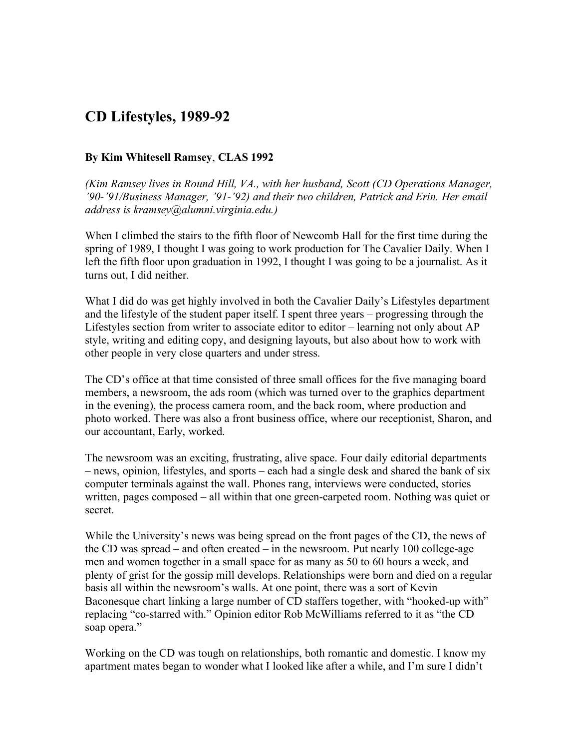## **CD Lifestyles, 1989-92**

## **By Kim Whitesell Ramsey**, **CLAS 1992**

*(Kim Ramsey lives in Round Hill, VA., with her husband, Scott (CD Operations Manager, '90-'91/Business Manager, '91-'92) and their two children, Patrick and Erin. Her email address is kramsey@alumni.virginia.edu.)*

When I climbed the stairs to the fifth floor of Newcomb Hall for the first time during the spring of 1989, I thought I was going to work production for The Cavalier Daily. When I left the fifth floor upon graduation in 1992, I thought I was going to be a journalist. As it turns out, I did neither.

What I did do was get highly involved in both the Cavalier Daily's Lifestyles department and the lifestyle of the student paper itself. I spent three years – progressing through the Lifestyles section from writer to associate editor to editor – learning not only about AP style, writing and editing copy, and designing layouts, but also about how to work with other people in very close quarters and under stress.

The CD's office at that time consisted of three small offices for the five managing board members, a newsroom, the ads room (which was turned over to the graphics department in the evening), the process camera room, and the back room, where production and photo worked. There was also a front business office, where our receptionist, Sharon, and our accountant, Early, worked.

The newsroom was an exciting, frustrating, alive space. Four daily editorial departments – news, opinion, lifestyles, and sports – each had a single desk and shared the bank of six computer terminals against the wall. Phones rang, interviews were conducted, stories written, pages composed – all within that one green-carpeted room. Nothing was quiet or secret.

While the University's news was being spread on the front pages of the CD, the news of the CD was spread – and often created – in the newsroom. Put nearly 100 college-age men and women together in a small space for as many as 50 to 60 hours a week, and plenty of grist for the gossip mill develops. Relationships were born and died on a regular basis all within the newsroom's walls. At one point, there was a sort of Kevin Baconesque chart linking a large number of CD staffers together, with "hooked-up with" replacing "co-starred with." Opinion editor Rob McWilliams referred to it as "the CD soap opera."

Working on the CD was tough on relationships, both romantic and domestic. I know my apartment mates began to wonder what I looked like after a while, and I'm sure I didn't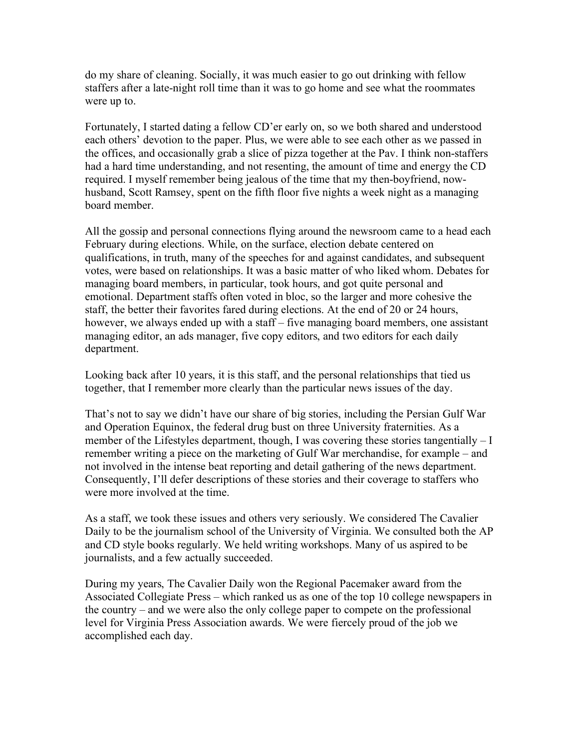do my share of cleaning. Socially, it was much easier to go out drinking with fellow staffers after a late-night roll time than it was to go home and see what the roommates were up to.

Fortunately, I started dating a fellow CD'er early on, so we both shared and understood each others' devotion to the paper. Plus, we were able to see each other as we passed in the offices, and occasionally grab a slice of pizza together at the Pav. I think non-staffers had a hard time understanding, and not resenting, the amount of time and energy the CD required. I myself remember being jealous of the time that my then-boyfriend, nowhusband, Scott Ramsey, spent on the fifth floor five nights a week night as a managing board member.

All the gossip and personal connections flying around the newsroom came to a head each February during elections. While, on the surface, election debate centered on qualifications, in truth, many of the speeches for and against candidates, and subsequent votes, were based on relationships. It was a basic matter of who liked whom. Debates for managing board members, in particular, took hours, and got quite personal and emotional. Department staffs often voted in bloc, so the larger and more cohesive the staff, the better their favorites fared during elections. At the end of 20 or 24 hours, however, we always ended up with a staff – five managing board members, one assistant managing editor, an ads manager, five copy editors, and two editors for each daily department.

Looking back after 10 years, it is this staff, and the personal relationships that tied us together, that I remember more clearly than the particular news issues of the day.

That's not to say we didn't have our share of big stories, including the Persian Gulf War and Operation Equinox, the federal drug bust on three University fraternities. As a member of the Lifestyles department, though, I was covering these stories tangentially – I remember writing a piece on the marketing of Gulf War merchandise, for example – and not involved in the intense beat reporting and detail gathering of the news department. Consequently, I'll defer descriptions of these stories and their coverage to staffers who were more involved at the time.

As a staff, we took these issues and others very seriously. We considered The Cavalier Daily to be the journalism school of the University of Virginia. We consulted both the AP and CD style books regularly. We held writing workshops. Many of us aspired to be journalists, and a few actually succeeded.

During my years, The Cavalier Daily won the Regional Pacemaker award from the Associated Collegiate Press – which ranked us as one of the top 10 college newspapers in the country – and we were also the only college paper to compete on the professional level for Virginia Press Association awards. We were fiercely proud of the job we accomplished each day.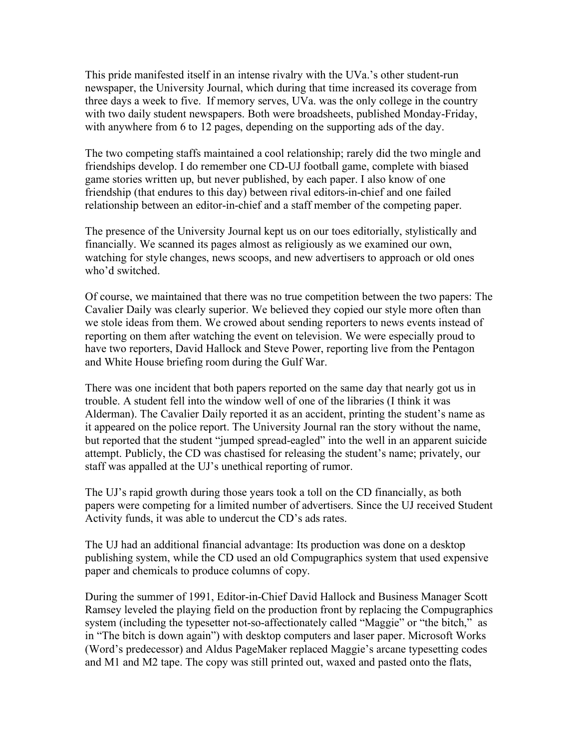This pride manifested itself in an intense rivalry with the UVa.'s other student-run newspaper, the University Journal, which during that time increased its coverage from three days a week to five. If memory serves, UVa. was the only college in the country with two daily student newspapers. Both were broadsheets, published Monday-Friday, with anywhere from 6 to 12 pages, depending on the supporting ads of the day.

The two competing staffs maintained a cool relationship; rarely did the two mingle and friendships develop. I do remember one CD-UJ football game, complete with biased game stories written up, but never published, by each paper. I also know of one friendship (that endures to this day) between rival editors-in-chief and one failed relationship between an editor-in-chief and a staff member of the competing paper.

The presence of the University Journal kept us on our toes editorially, stylistically and financially. We scanned its pages almost as religiously as we examined our own, watching for style changes, news scoops, and new advertisers to approach or old ones who'd switched.

Of course, we maintained that there was no true competition between the two papers: The Cavalier Daily was clearly superior. We believed they copied our style more often than we stole ideas from them. We crowed about sending reporters to news events instead of reporting on them after watching the event on television. We were especially proud to have two reporters, David Hallock and Steve Power, reporting live from the Pentagon and White House briefing room during the Gulf War.

There was one incident that both papers reported on the same day that nearly got us in trouble. A student fell into the window well of one of the libraries (I think it was Alderman). The Cavalier Daily reported it as an accident, printing the student's name as it appeared on the police report. The University Journal ran the story without the name, but reported that the student "jumped spread-eagled" into the well in an apparent suicide attempt. Publicly, the CD was chastised for releasing the student's name; privately, our staff was appalled at the UJ's unethical reporting of rumor.

The UJ's rapid growth during those years took a toll on the CD financially, as both papers were competing for a limited number of advertisers. Since the UJ received Student Activity funds, it was able to undercut the CD's ads rates.

The UJ had an additional financial advantage: Its production was done on a desktop publishing system, while the CD used an old Compugraphics system that used expensive paper and chemicals to produce columns of copy.

During the summer of 1991, Editor-in-Chief David Hallock and Business Manager Scott Ramsey leveled the playing field on the production front by replacing the Compugraphics system (including the typesetter not-so-affectionately called "Maggie" or "the bitch," as in "The bitch is down again") with desktop computers and laser paper. Microsoft Works (Word's predecessor) and Aldus PageMaker replaced Maggie's arcane typesetting codes and M1 and M2 tape. The copy was still printed out, waxed and pasted onto the flats,